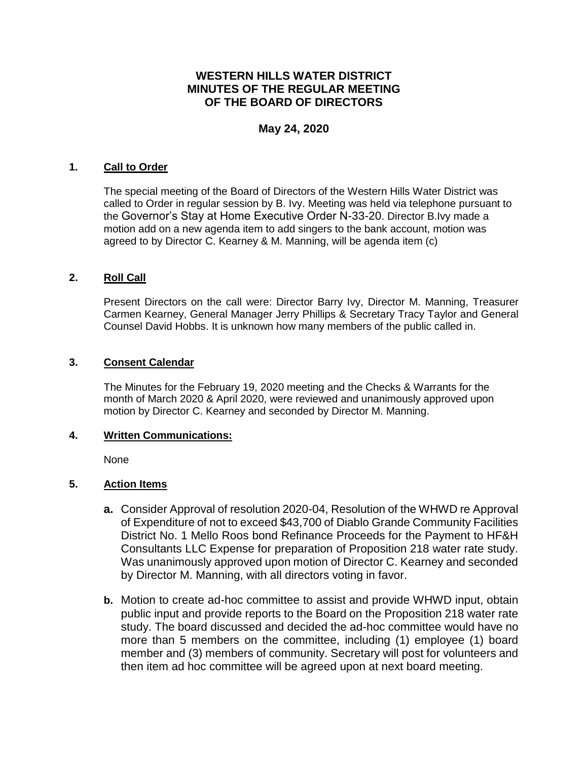# **WESTERN HILLS WATER DISTRICT MINUTES OF THE REGULAR MEETING OF THE BOARD OF DIRECTORS**

## **May 24, 2020**

#### **1. Call to Order**

The special meeting of the Board of Directors of the Western Hills Water District was called to Order in regular session by B. Ivy. Meeting was held via telephone pursuant to the Governor's Stay at Home Executive Order N-33-20. Director B.Ivy made a motion add on a new agenda item to add singers to the bank account, motion was agreed to by Director C. Kearney & M. Manning, will be agenda item (c)

#### **2. Roll Call**

Present Directors on the call were: Director Barry Ivy, Director M. Manning, Treasurer Carmen Kearney, General Manager Jerry Phillips & Secretary Tracy Taylor and General Counsel David Hobbs. It is unknown how many members of the public called in.

#### **3. Consent Calendar**

The Minutes for the February 19, 2020 meeting and the Checks & Warrants for the month of March 2020 & April 2020, were reviewed and unanimously approved upon motion by Director C. Kearney and seconded by Director M. Manning.

#### **4. Written Communications:**

None

### **5. Action Items**

- **a.** Consider Approval of resolution 2020-04, Resolution of the WHWD re Approval of Expenditure of not to exceed \$43,700 of Diablo Grande Community Facilities District No. 1 Mello Roos bond Refinance Proceeds for the Payment to HF&H Consultants LLC Expense for preparation of Proposition 218 water rate study. Was unanimously approved upon motion of Director C. Kearney and seconded by Director M. Manning, with all directors voting in favor.
- **b.** Motion to create ad-hoc committee to assist and provide WHWD input, obtain public input and provide reports to the Board on the Proposition 218 water rate study. The board discussed and decided the ad-hoc committee would have no more than 5 members on the committee, including (1) employee (1) board member and (3) members of community. Secretary will post for volunteers and then item ad hoc committee will be agreed upon at next board meeting.